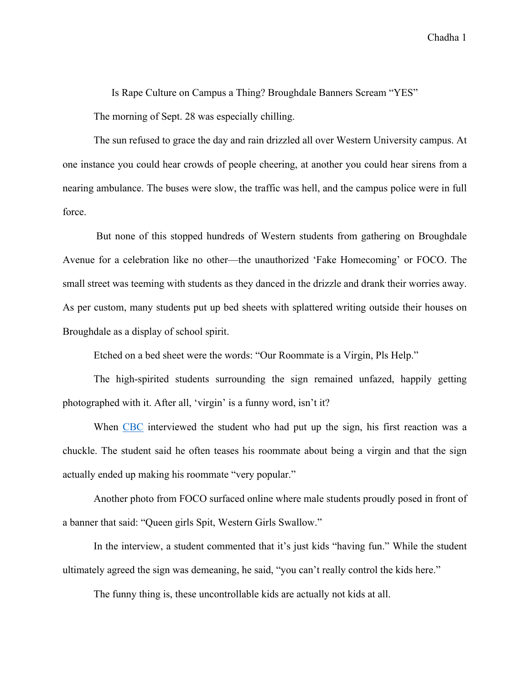Chadha 1

Is Rape Culture on Campus a Thing? Broughdale Banners Scream "YES"

The morning of Sept. 28 was especially chilling.

The sun refused to grace the day and rain drizzled all over Western University campus. At one instance you could hear crowds of people cheering, at another you could hear sirens from a nearing ambulance. The buses were slow, the traffic was hell, and the campus police were in full force.

But none of this stopped hundreds of Western students from gathering on Broughdale Avenue for a celebration like no other—the unauthorized 'Fake Homecoming' or FOCO. The small street was teeming with students as they danced in the drizzle and drank their worries away. As per custom, many students put up bed sheets with splattered writing outside their houses on Broughdale as a display of school spirit.

Etched on a bed sheet were the words: "Our Roommate is a Virgin, Pls Help."

The high-spirited students surrounding the sign remained unfazed, happily getting photographed with it. After all, 'virgin' is a funny word, isn't it?

When CBC interviewed the student who had put up the sign, his first reaction was a chuckle. The student said he often teases his roommate about being a virgin and that the sign actually ended up making his roommate "very popular."

Another photo from FOCO surfaced online where male students proudly posed in front of a banner that said: "Queen girls Spit, Western Girls Swallow."

In the interview, a student commented that it's just kids "having fun." While the student ultimately agreed the sign was demeaning, he said, "you can't really control the kids here."

The funny thing is, these uncontrollable kids are actually not kids at all.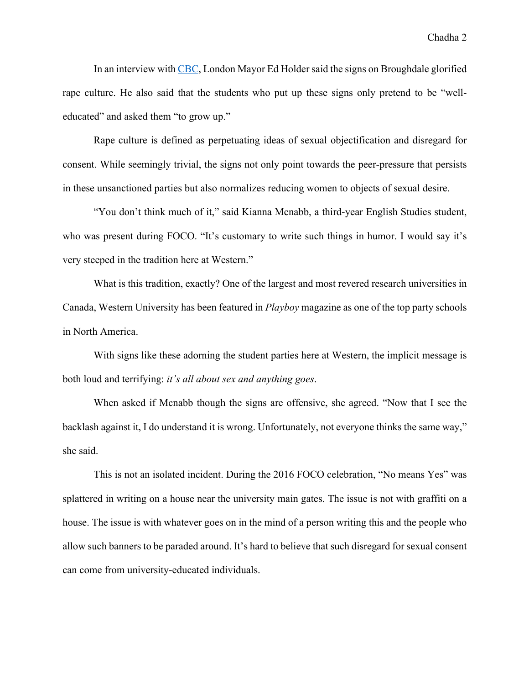In an interview with CBC, London Mayor Ed Holder said the signs on Broughdale glorified rape culture. He also said that the students who put up these signs only pretend to be "welleducated" and asked them "to grow up."

Rape culture is defined as perpetuating ideas of sexual objectification and disregard for consent. While seemingly trivial, the signs not only point towards the peer-pressure that persists in these unsanctioned parties but also normalizes reducing women to objects of sexual desire.

"You don't think much of it," said Kianna Mcnabb, a third-year English Studies student, who was present during FOCO. "It's customary to write such things in humor. I would say it's very steeped in the tradition here at Western."

What is this tradition, exactly? One of the largest and most revered research universities in Canada, Western University has been featured in *Playboy* magazine as one of the top party schools in North America.

With signs like these adorning the student parties here at Western, the implicit message is both loud and terrifying: *it's all about sex and anything goes*.

When asked if Mcnabb though the signs are offensive, she agreed. "Now that I see the backlash against it, I do understand it is wrong. Unfortunately, not everyone thinks the same way," she said.

This is not an isolated incident. During the 2016 FOCO celebration, "No means Yes" was splattered in writing on a house near the university main gates. The issue is not with graffiti on a house. The issue is with whatever goes on in the mind of a person writing this and the people who allow such banners to be paraded around. It's hard to believe that such disregard for sexual consent can come from university-educated individuals.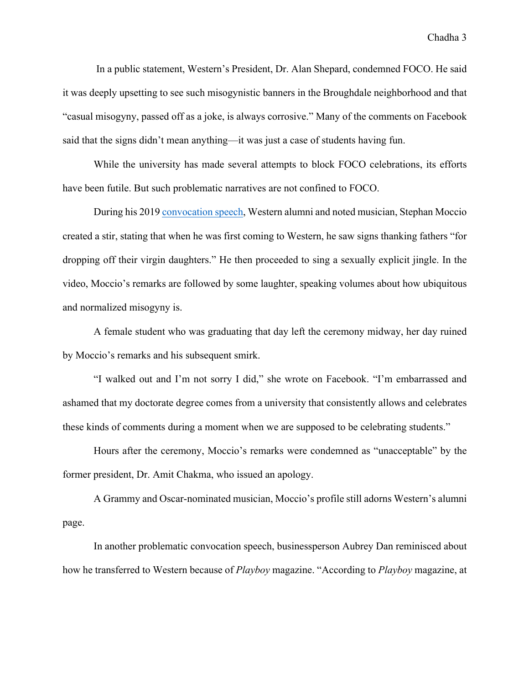In a public statement, Western's President, Dr. Alan Shepard, condemned FOCO. He said it was deeply upsetting to see such misogynistic banners in the Broughdale neighborhood and that "casual misogyny, passed off as a joke, is always corrosive." Many of the comments on Facebook said that the signs didn't mean anything—it was just a case of students having fun.

While the university has made several attempts to block FOCO celebrations, its efforts have been futile. But such problematic narratives are not confined to FOCO.

During his 2019 convocation speech, Western alumni and noted musician, Stephan Moccio created a stir, stating that when he was first coming to Western, he saw signs thanking fathers "for dropping off their virgin daughters." He then proceeded to sing a sexually explicit jingle. In the video, Moccio's remarks are followed by some laughter, speaking volumes about how ubiquitous and normalized misogyny is.

A female student who was graduating that day left the ceremony midway, her day ruined by Moccio's remarks and his subsequent smirk.

"I walked out and I'm not sorry I did," she wrote on Facebook. "I'm embarrassed and ashamed that my doctorate degree comes from a university that consistently allows and celebrates these kinds of comments during a moment when we are supposed to be celebrating students."

Hours after the ceremony, Moccio's remarks were condemned as "unacceptable" by the former president, Dr. Amit Chakma, who issued an apology.

A Grammy and Oscar-nominated musician, Moccio's profile still adorns Western's alumni page.

In another problematic convocation speech, businessperson Aubrey Dan reminisced about how he transferred to Western because of *Playboy* magazine. "According to *Playboy* magazine, at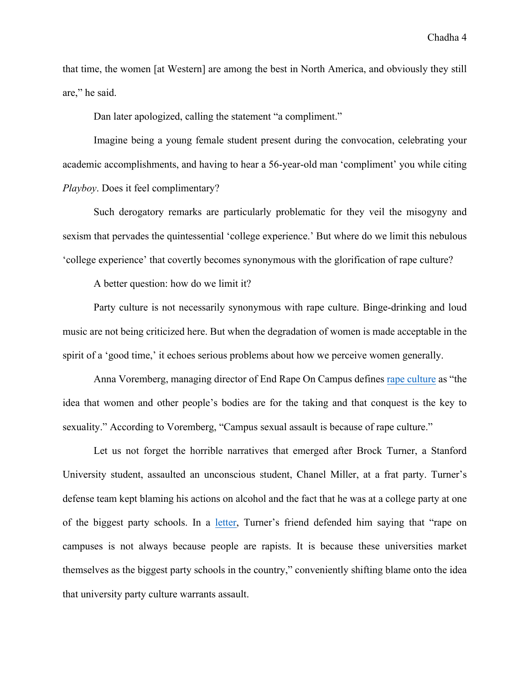that time, the women [at Western] are among the best in North America, and obviously they still are," he said.

Dan later apologized, calling the statement "a compliment."

Imagine being a young female student present during the convocation, celebrating your academic accomplishments, and having to hear a 56-year-old man 'compliment' you while citing *Playboy*. Does it feel complimentary?

Such derogatory remarks are particularly problematic for they veil the misogyny and sexism that pervades the quintessential 'college experience.' But where do we limit this nebulous 'college experience' that covertly becomes synonymous with the glorification of rape culture?

A better question: how do we limit it?

Party culture is not necessarily synonymous with rape culture. Binge-drinking and loud music are not being criticized here. But when the degradation of women is made acceptable in the spirit of a 'good time,' it echoes serious problems about how we perceive women generally.

Anna Voremberg, managing director of End Rape On Campus defines rape culture as "the idea that women and other people's bodies are for the taking and that conquest is the key to sexuality." According to Voremberg, "Campus sexual assault is because of rape culture."

Let us not forget the horrible narratives that emerged after Brock Turner, a Stanford University student, assaulted an unconscious student, Chanel Miller, at a frat party. Turner's defense team kept blaming his actions on alcohol and the fact that he was at a college party at one of the biggest party schools. In a letter, Turner's friend defended him saying that "rape on campuses is not always because people are rapists. It is because these universities market themselves as the biggest party schools in the country," conveniently shifting blame onto the idea that university party culture warrants assault.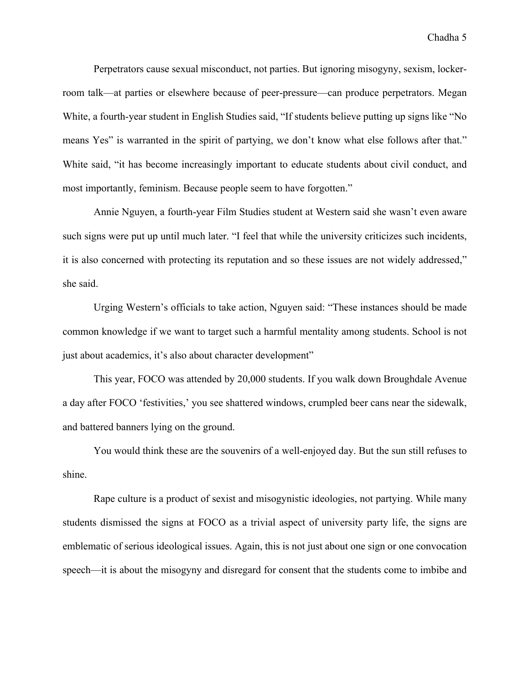Perpetrators cause sexual misconduct, not parties. But ignoring misogyny, sexism, lockerroom talk—at parties or elsewhere because of peer-pressure—can produce perpetrators. Megan White, a fourth-year student in English Studies said, "If students believe putting up signs like "No means Yes" is warranted in the spirit of partying, we don't know what else follows after that." White said, "it has become increasingly important to educate students about civil conduct, and most importantly, feminism. Because people seem to have forgotten."

Annie Nguyen, a fourth-year Film Studies student at Western said she wasn't even aware such signs were put up until much later. "I feel that while the university criticizes such incidents, it is also concerned with protecting its reputation and so these issues are not widely addressed," she said.

Urging Western's officials to take action, Nguyen said: "These instances should be made common knowledge if we want to target such a harmful mentality among students. School is not just about academics, it's also about character development"

This year, FOCO was attended by 20,000 students. If you walk down Broughdale Avenue a day after FOCO 'festivities,' you see shattered windows, crumpled beer cans near the sidewalk, and battered banners lying on the ground.

You would think these are the souvenirs of a well-enjoyed day. But the sun still refuses to shine.

Rape culture is a product of sexist and misogynistic ideologies, not partying. While many students dismissed the signs at FOCO as a trivial aspect of university party life, the signs are emblematic of serious ideological issues. Again, this is not just about one sign or one convocation speech—it is about the misogyny and disregard for consent that the students come to imbibe and